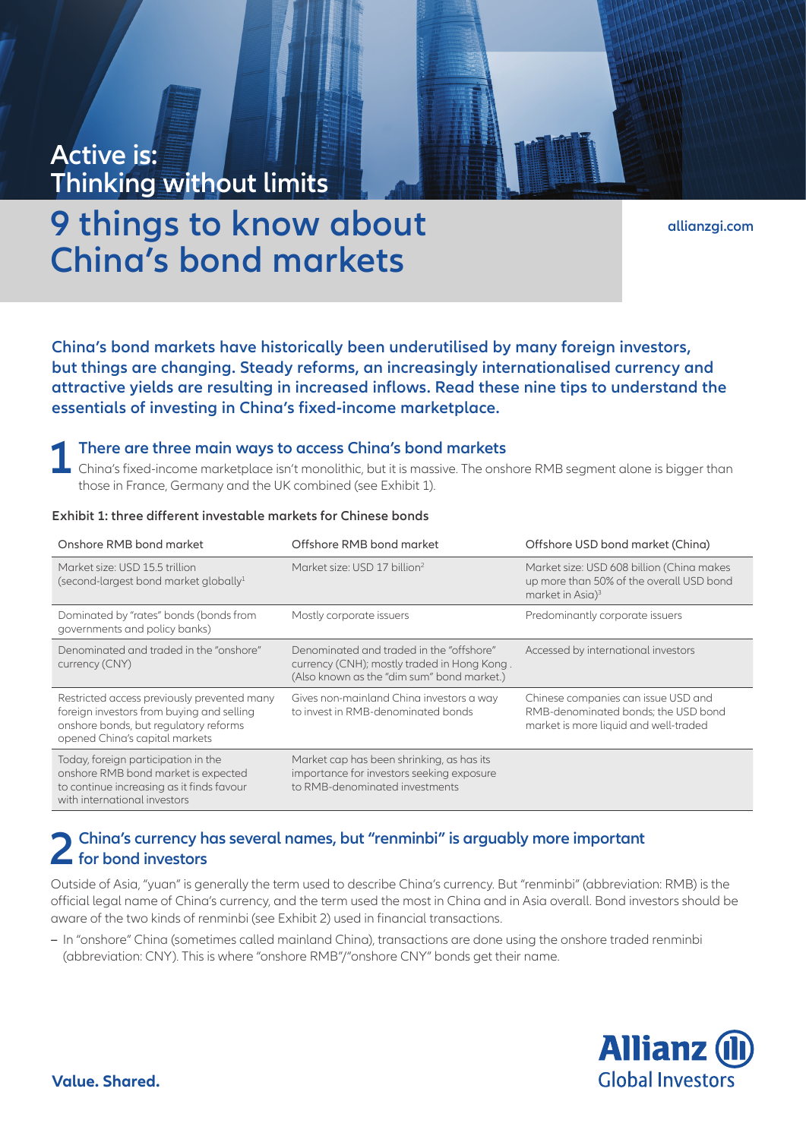# **Active is: Thinking without limits**

**9 things to know about China's bond markets**

**[allianzgi.com](https://www.allianzgi.com/)**

**China's bond markets have historically been underutilised by many foreign investors, but things are changing. Steady reforms, an increasingly internationalised currency and attractive yields are resulting in increased inflows. Read these nine tips to understand the essentials of investing in China's fixed-income marketplace.**

**1 There are three main ways to access China's bond markets**<br>
China's fixed-income marketplace isn't monolithic, but it is massive. The onshore RMB segment alone is bigger than<br>
these in France Cormany and the UK combine those in France, Germany and the UK combined (see Exhibit 1).

| Exhibit 1: three different investable markets for Chinese bonds |  |  |
|-----------------------------------------------------------------|--|--|
|-----------------------------------------------------------------|--|--|

| Onshore RMB bond market                                                                                                                                             | Offshore RMB bond market                                                                                                              | Offshore USD bond market (China)                                                                                      |
|---------------------------------------------------------------------------------------------------------------------------------------------------------------------|---------------------------------------------------------------------------------------------------------------------------------------|-----------------------------------------------------------------------------------------------------------------------|
| Market size: USD 15.5 trillion<br>(second-largest bond market globally $1$                                                                                          | Market size: USD 17 billion <sup>2</sup>                                                                                              | Market size: USD 608 billion (China makes<br>up more than 50% of the overall USD bond<br>market in Asia) <sup>3</sup> |
| Dominated by "rates" bonds (bonds from<br>governments and policy banks)                                                                                             | Mostly corporate issuers                                                                                                              | Predominantly corporate issuers                                                                                       |
| Denominated and traded in the "onshore"<br>currency (CNY)                                                                                                           | Denominated and traded in the "offshore"<br>currency (CNH); mostly traded in Hong Kong.<br>(Also known as the "dim sum" bond market.) | Accessed by international investors                                                                                   |
| Restricted access previously prevented many<br>foreign investors from buying and selling<br>onshore bonds, but regulatory reforms<br>opened China's capital markets | Gives non-mainland China investors a way<br>to invest in RMB-denominated bonds                                                        | Chinese companies can issue USD and<br>RMB-denominated bonds; the USD bond<br>market is more liquid and well-traded   |
| Today, foreign participation in the<br>onshore RMB bond market is expected<br>to continue increasing as it finds favour<br>with international investors             | Market cap has been shrinking, as has its<br>importance for investors seeking exposure<br>to RMB-denominated investments              |                                                                                                                       |

# **2 China's currency has several names, but "renminbi" is arguably more important for bond investors**

Outside of Asia, "yuan" is generally the term used to describe China's currency. But "renminbi" (abbreviation: RMB) is the official legal name of China's currency, and the term used the most in China and in Asia overall. Bond investors should be aware of the two kinds of renminbi (see Exhibit 2) used in financial transactions.

**–** In "onshore" China (sometimes called mainland China), transactions are done using the onshore traded renminbi (abbreviation: CNY). This is where "onshore RMB"/"onshore CNY" bonds get their name.

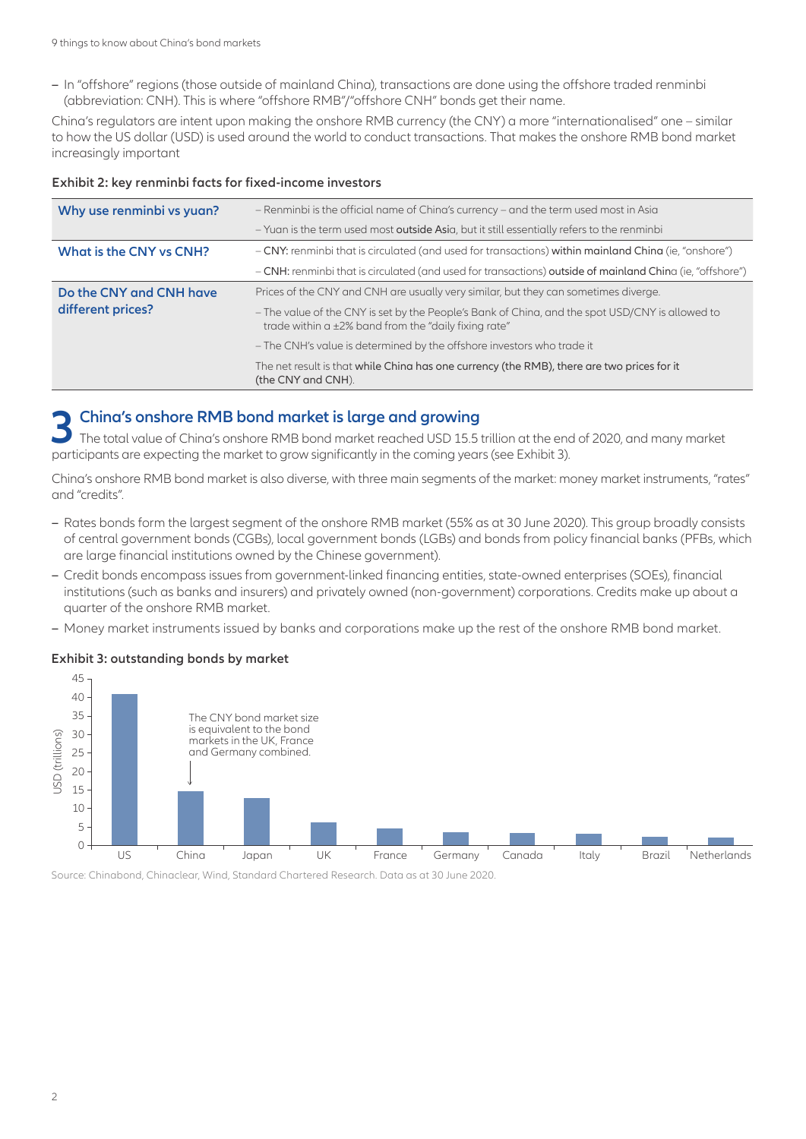**–** In "offshore" regions (those outside of mainland China), transactions are done using the offshore traded renminbi (abbreviation: CNH). This is where "offshore RMB"/"offshore CNH" bonds get their name.

China's regulators are intent upon making the onshore RMB currency (the CNY) a more "internationalised" one – similar to how the US dollar (USD) is used around the world to conduct transactions. That makes the onshore RMB bond market increasingly important

| Why use renminbi vs yuan?                    | - Renminbi is the official name of China's currency - and the term used most in Asia                                                                    |
|----------------------------------------------|---------------------------------------------------------------------------------------------------------------------------------------------------------|
|                                              | - Yuan is the term used most outside Asia, but it still essentially refers to the renminbi                                                              |
| What is the CNY vs CNH?                      | - CNY: renminbi that is circulated (and used for transactions) within mainland China (ie, "onshore")                                                    |
|                                              | - CNH: renminbi that is circulated (and used for transactions) outside of mainland China (ie, "offshore")                                               |
| Do the CNY and CNH have<br>different prices? | Prices of the CNY and CNH are usually very similar, but they can sometimes diverge.                                                                     |
|                                              | - The value of the CNY is set by the People's Bank of China, and the spot USD/CNY is allowed to<br>trade within a ±2% band from the "daily fixing rate" |
|                                              | - The CNH's value is determined by the offshore investors who trade it                                                                                  |
|                                              | The net result is that while China has one currency (the RMB), there are two prices for it<br>(the CNY and CNH).                                        |

#### **Exhibit 2: key renminbi facts for fixed-income investors**

# **3 China's onshore RMB bond market is large and growing**

The total value of China's onshore RMB bond market reached USD 15.5 trillion at the end of 2020, and many market participants are expecting the market to grow significantly in the coming years (see Exhibit 3).

China's onshore RMB bond market is also diverse, with three main segments of the market: money market instruments, "rates" and "credits".

- **–** Rates bonds form the largest segment of the onshore RMB market (55% as at 30 June 2020). This group broadly consists of central government bonds (CGBs), local government bonds (LGBs) and bonds from policy financial banks (PFBs, which are large financial institutions owned by the Chinese government).
- **–** Credit bonds encompass issues from government-linked financing entities, state-owned enterprises (SOEs), financial institutions (such as banks and insurers) and privately owned (non-government) corporations. Credits make up about a quarter of the onshore RMB market.
- **–** Money market instruments issued by banks and corporations make up the rest of the onshore RMB bond market.

#### **Exhibit 3: outstanding bonds by market**



Source: Chinabond, Chinaclear, Wind, Standard Chartered Research. Data as at 30 June 2020.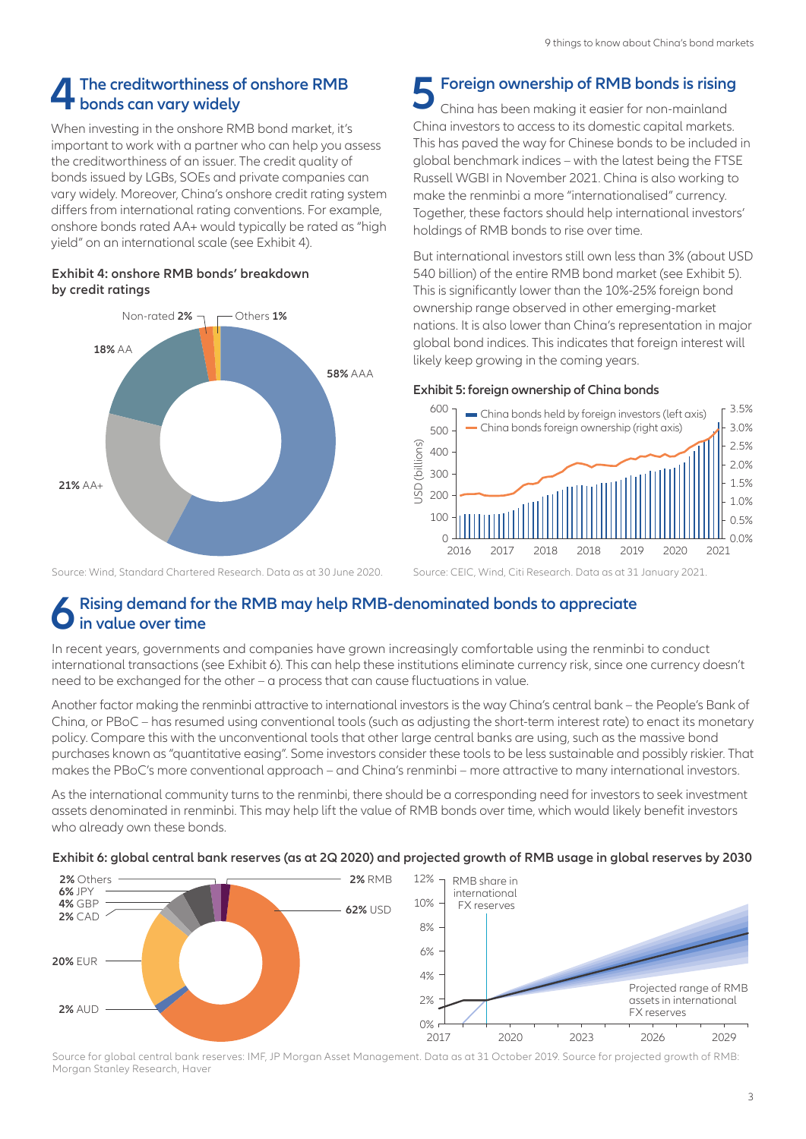# **4 The creditworthiness of onshore RMB bonds can vary widely**

When investing in the onshore RMB bond market, it's important to work with a partner who can help you assess the creditworthiness of an issuer. The credit quality of bonds issued by LGBs, SOEs and private companies can vary widely. Moreover, China's onshore credit rating system differs from international rating conventions. For example, onshore bonds rated AA+ would typically be rated as "high yield" on an international scale (see Exhibit 4).

### **Exhibit 4: onshore RMB bonds' breakdown by credit ratings**



#### Source: Wind, Standard Chartered Research. Data as at 30 June 2020.

# **5 Foreign ownership of RMB bonds is rising**

China has been making it easier for non-mainland China investors to access to its domestic capital markets. This has paved the way for Chinese bonds to be included in global benchmark indices – with the latest being the FTSE Russell WGBI in November 2021. China is also working to make the renminbi a more "internationalised" currency. Together, these factors should help international investors' holdings of RMB bonds to rise over time.

But international investors still own less than 3% (about USD 540 billion) of the entire RMB bond market (see Exhibit 5). This is significantly lower than the 10%-25% foreign bond ownership range observed in other emerging-market nations. It is also lower than China's representation in major global bond indices. This indicates that foreign interest will likely keep growing in the coming years.

#### **Exhibit 5: foreign ownership of China bonds**



Source: CEIC, Wind, Citi Research. Data as at 31 January 2021.

# **6 Rising demand for the RMB may help RMB-denominated bonds to appreciate in value over time**

In recent years, governments and companies have grown increasingly comfortable using the renminbi to conduct international transactions (see Exhibit 6). This can help these institutions eliminate currency risk, since one currency doesn't need to be exchanged for the other – a process that can cause fluctuations in value.

Another factor making the renminbi attractive to international investors is the way China's central bank – the People's Bank of China, or PBoC – has resumed using conventional tools (such as adjusting the short-term interest rate) to enact its monetary policy. Compare this with the unconventional tools that other large central banks are using, such as the massive bond purchases known as "quantitative easing". Some investors consider these tools to be less sustainable and possibly riskier. That makes the PBoC's more conventional approach – and China's renminbi – more attractive to many international investors.

As the international community turns to the renminbi, there should be a corresponding need for investors to seek investment assets denominated in renminbi. This may help lift the value of RMB bonds over time, which would likely benefit investors who already own these bonds.

#### **Exhibit 6: global central bank reserves (as at 2Q 2020) and projected growth of RMB usage in global reserves by 2030**



Source for global central bank reserves: IMF, JP Morgan Asset Management. Data as at 31 October 2019. Source for projected growth of RMB: Morgan Stanley Research, Haver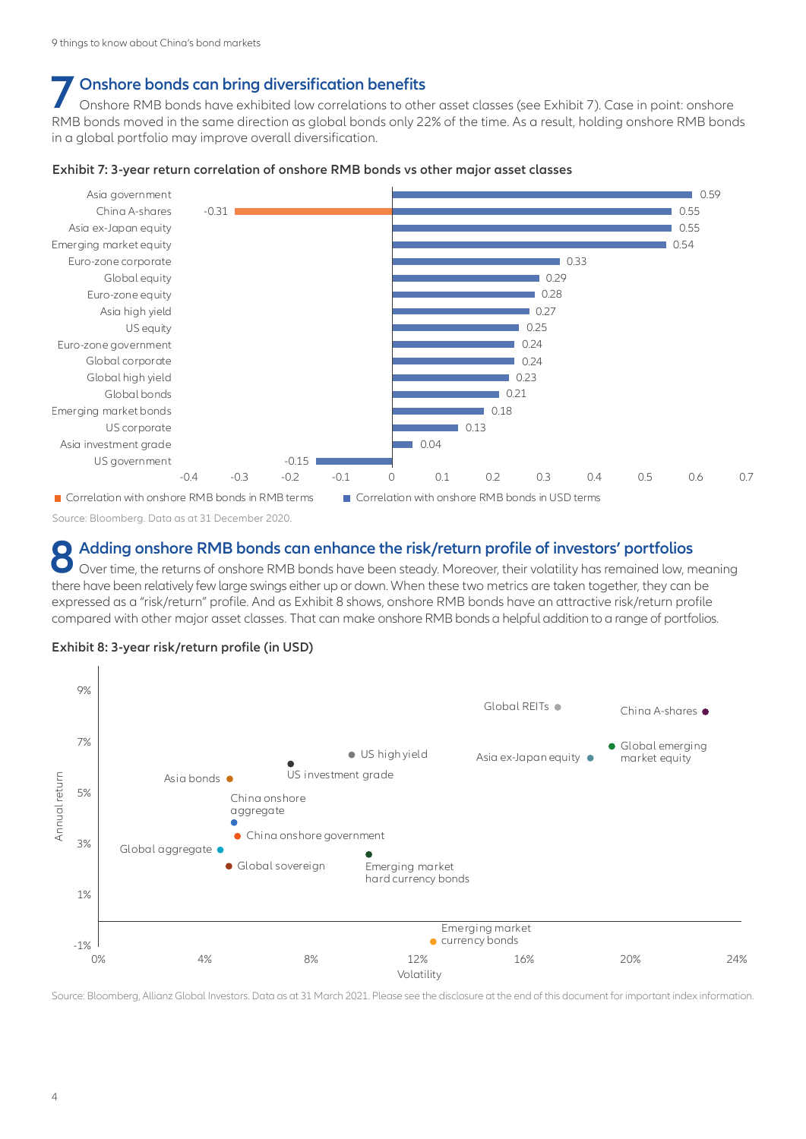# **7 Onshore bonds can bring diversification benefits**

Onshore RMB bonds have exhibited low correlations to other asset classes (see Exhibit 7). Case in point: onshore RMB bonds moved in the same direction as global bonds only 22% of the time. As a result, holding onshore RMB bonds in a global portfolio may improve overall diversification.

#### **Exhibit 7: 3-year return correlation of onshore RMB bonds vs other major asset classes**



Source: Bloomberg. Data as at 31 December 2020.

## **8 Adding onshore RMB bonds can enhance the risk/return profile of investors' portfolios**

Over time, the returns of onshore RMB bonds have been steady. Moreover, their volatility has remained low, meaning there have been relatively few large swings either up or down. When these two metrics are taken together, they can be expressed as a "risk/return" profile. And as Exhibit 8 shows, onshore RMB bonds have an attractive risk/return profile compared with other major asset classes. That can make onshore RMB bonds a helpful addition to a range of portfolios.



#### **Exhibit 8: 3-year risk/return profile (in USD)**

Source: Bloomberg, Allianz Global Investors. Data as at 31 March 2021. Please see the disclosure at the end of this document for important index information.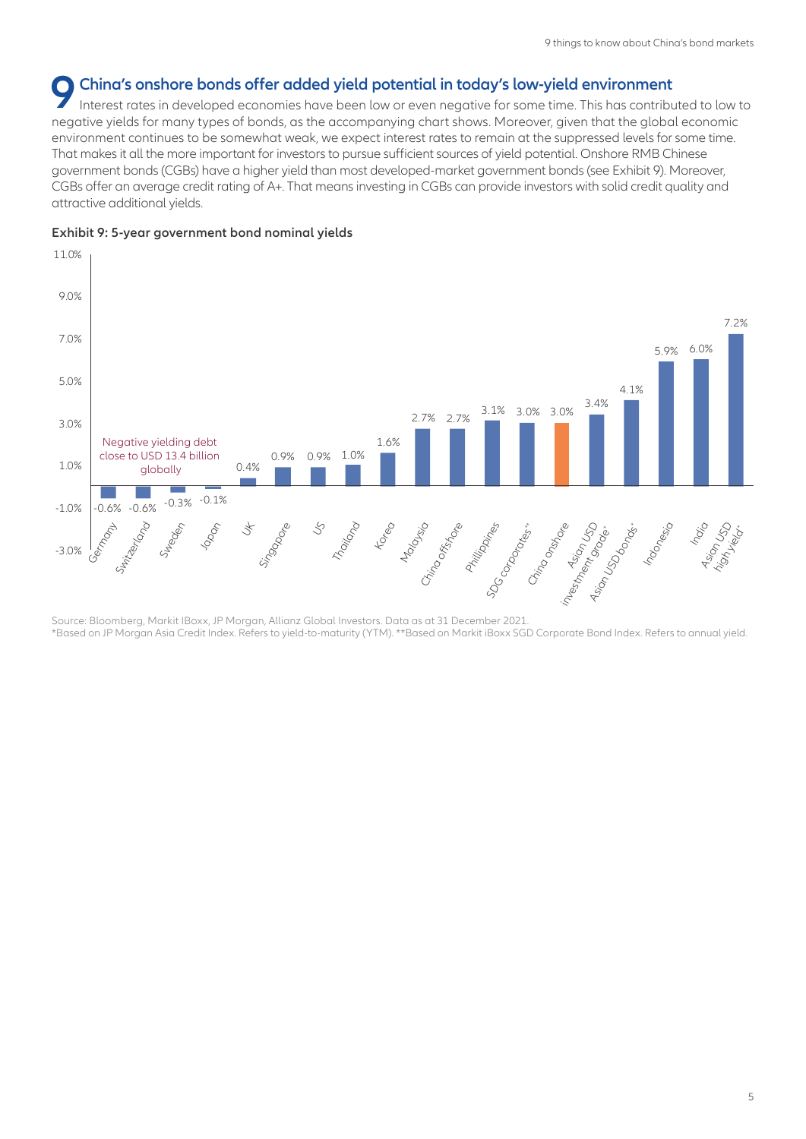# **9 China's onshore bonds offer added yield potential in today's low-yield environment**

Interest rates in developed economies have been low or even negative for some time. This has contributed to low to negative yields for many types of bonds, as the accompanying chart shows. Moreover, given that the global economic environment continues to be somewhat weak, we expect interest rates to remain at the suppressed levels for some time. That makes it all the more important for investors to pursue sufficient sources of yield potential. Onshore RMB Chinese government bonds (CGBs) have a higher yield than most developed-market government bonds (see Exhibit 9). Moreover, CGBs offer an average credit rating of A+. That means investing in CGBs can provide investors with solid credit quality and attractive additional yields.





Source: Bloomberg, Markit IBoxx, JP Morgan, Allianz Global Investors. Data as at 31 December 2021. \*Based on JP Morgan Asia Credit Index. Refers to yield-to-maturity (YTM). \*\*Based on Markit iBoxx SGD Corporate Bond Index. Refers to annual yield.